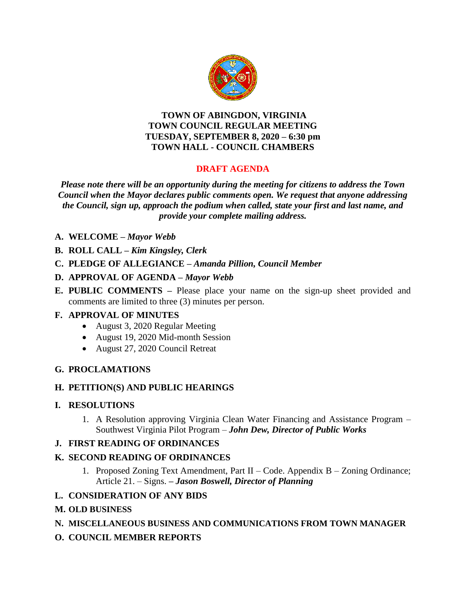

#### **TOWN OF ABINGDON, VIRGINIA TOWN COUNCIL REGULAR MEETING TUESDAY, SEPTEMBER 8, 2020 – 6:30 pm TOWN HALL - COUNCIL CHAMBERS**

# **DRAFT AGENDA**

*Please note there will be an opportunity during the meeting for citizens to address the Town Council when the Mayor declares public comments open. We request that anyone addressing the Council, sign up, approach the podium when called, state your first and last name, and provide your complete mailing address.*

- **A. WELCOME –** *Mayor Webb*
- **B. ROLL CALL –** *Kim Kingsley, Clerk*
- **C. PLEDGE OF ALLEGIANCE –** *Amanda Pillion, Council Member*
- **D. APPROVAL OF AGENDA –** *Mayor Webb*
- **E. PUBLIC COMMENTS –** Please place your name on the sign-up sheet provided and comments are limited to three (3) minutes per person.

## **F. APPROVAL OF MINUTES**

- August 3, 2020 Regular Meeting
- August 19, 2020 Mid-month Session
- August 27, 2020 Council Retreat

## **G. PROCLAMATIONS**

#### **H. PETITION(S) AND PUBLIC HEARINGS**

#### **I. RESOLUTIONS**

1. A Resolution approving Virginia Clean Water Financing and Assistance Program – Southwest Virginia Pilot Program – *John Dew, Director of Public Works*

## **J. FIRST READING OF ORDINANCES**

## **K. SECOND READING OF ORDINANCES**

1. Proposed Zoning Text Amendment, Part II – Code. Appendix B – Zoning Ordinance; Article 21. – Signs. **–** *Jason Boswell, Director of Planning* 

## **L. CONSIDERATION OF ANY BIDS**

#### **M. OLD BUSINESS**

## **N. MISCELLANEOUS BUSINESS AND COMMUNICATIONS FROM TOWN MANAGER**

**O. COUNCIL MEMBER REPORTS**